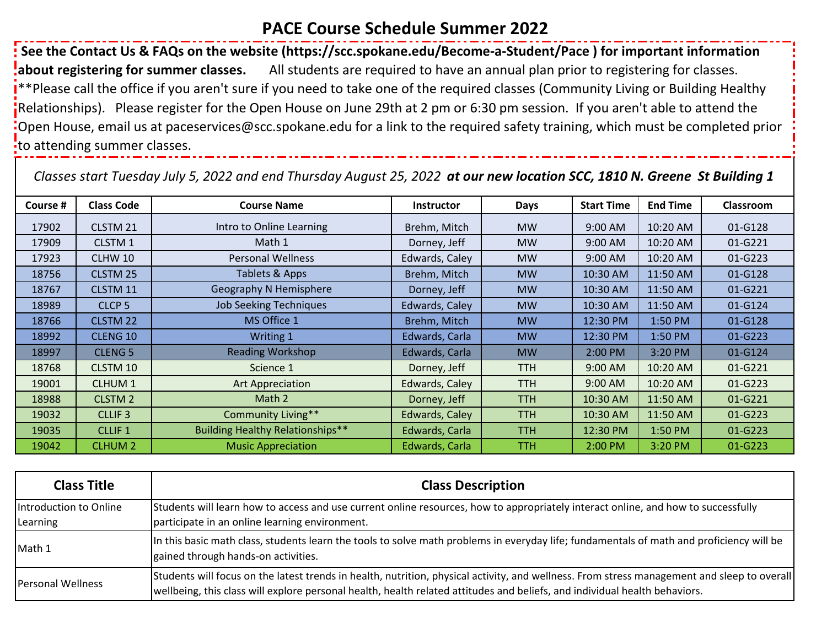## **PACE Course Schedule Summer 2022**

 **See the Contact Us & FAQs on the website (https://scc.spokane.edu/Become-a-Student/Pace ) for important information about registering for summer classes.** All students are required to have an annual plan prior to registering for classes. \*\*Please call the office if you aren't sure if you need to take one of the required classes (Community Living or Building Healthy Relationships). Please register for the Open House on June 29th at 2 pm or 6:30 pm session. If you aren't able to attend the Open House, email us at paceservices@scc.spokane.edu for a link to the required safety training, which must be completed prior to attending summer classes.

*Classes start Tuesday July 5, 2022 and end Thursday August 25, 2022 at our new location SCC, 1810 N. Greene St Building 1*

| Course # | <b>Class Code</b>  | <b>Course Name</b>                      | <b>Instructor</b> | <b>Days</b> | <b>Start Time</b> | <b>End Time</b> | Classroom |
|----------|--------------------|-----------------------------------------|-------------------|-------------|-------------------|-----------------|-----------|
| 17902    | CLSTM 21           | Intro to Online Learning                | Brehm, Mitch      | <b>MW</b>   | 9:00 AM           | 10:20 AM        | 01-G128   |
| 17909    | CLSTM 1            | Math 1                                  | Dorney, Jeff      | <b>MW</b>   | 9:00 AM           | 10:20 AM        | 01-G221   |
| 17923    | CLHW 10            | <b>Personal Wellness</b>                | Edwards, Caley    | <b>MW</b>   | 9:00 AM           | 10:20 AM        | 01-G223   |
| 18756    | CLSTM 25           | Tablets & Apps                          | Brehm, Mitch      | <b>MW</b>   | 10:30 AM          | 11:50 AM        | 01-G128   |
| 18767    | CLSTM 11           | Geography N Hemisphere                  | Dorney, Jeff      | <b>MW</b>   | 10:30 AM          | 11:50 AM        | 01-G221   |
| 18989    | CLCP <sub>5</sub>  | <b>Job Seeking Techniques</b>           | Edwards, Caley    | <b>MW</b>   | 10:30 AM          | 11:50 AM        | 01-G124   |
| 18766    | CLSTM 22           | MS Office 1                             | Brehm, Mitch      | <b>MW</b>   | 12:30 PM          | 1:50 PM         | 01-G128   |
| 18992    | CLENG 10           | Writing 1                               | Edwards, Carla    | <b>MW</b>   | 12:30 PM          | 1:50 PM         | 01-G223   |
| 18997    | <b>CLENG 5</b>     | <b>Reading Workshop</b>                 | Edwards, Carla    | <b>MW</b>   | 2:00 PM           | 3:20 PM         | 01-G124   |
| 18768    | CLSTM 10           | Science 1                               | Dorney, Jeff      | <b>TTH</b>  | 9:00 AM           | 10:20 AM        | 01-G221   |
| 19001    | <b>CLHUM1</b>      | Art Appreciation                        | Edwards, Caley    | <b>TTH</b>  | 9:00 AM           | 10:20 AM        | 01-G223   |
| 18988    | CLSTM <sub>2</sub> | Math 2                                  | Dorney, Jeff      | TTH.        | 10:30 AM          | 11:50 AM        | 01-G221   |
| 19032    | CLLIF <sub>3</sub> | <b>Community Living**</b>               | Edwards, Caley    | TTH.        | 10:30 AM          | 11:50 AM        | 01-G223   |
| 19035    | <b>CLLIF 1</b>     | <b>Building Healthy Relationships**</b> | Edwards, Carla    | TTH.        | 12:30 PM          | 1:50 PM         | 01-G223   |
| 19042    | <b>CLHUM 2</b>     | <b>Music Appreciation</b>               | Edwards, Carla    | <b>TTH</b>  | 2:00 PM           | 3:20 PM         | 01-G223   |

| <b>Class Title</b>       | <b>Class Description</b>                                                                                                                                                                                                                                                  |
|--------------------------|---------------------------------------------------------------------------------------------------------------------------------------------------------------------------------------------------------------------------------------------------------------------------|
| Introduction to Online   | Students will learn how to access and use current online resources, how to appropriately interact online, and how to successfully                                                                                                                                         |
| Learning                 | participate in an online learning environment.                                                                                                                                                                                                                            |
| Math 1                   | In this basic math class, students learn the tools to solve math problems in everyday life; fundamentals of math and proficiency will be<br>gained through hands-on activities.                                                                                           |
| <b>Personal Wellness</b> | Students will focus on the latest trends in health, nutrition, physical activity, and wellness. From stress management and sleep to overall<br>wellbeing, this class will explore personal health, health related attitudes and beliefs, and individual health behaviors. |